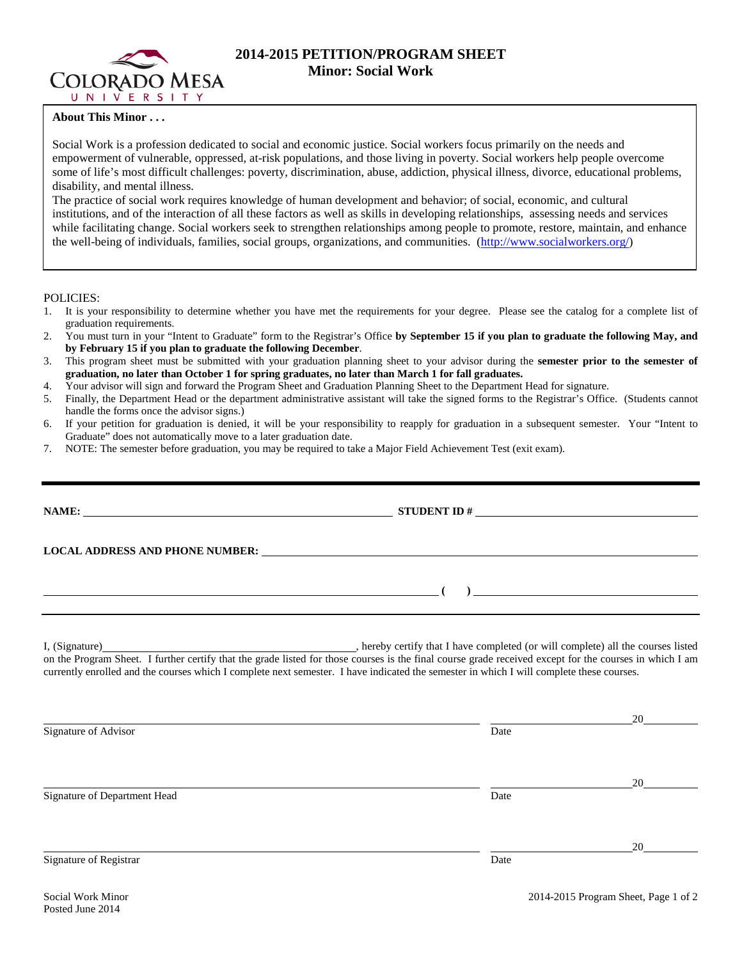

# **2014-2015 PETITION/PROGRAM SHEET Minor: Social Work**

## **About This Minor . . .**

Social Work is a profession dedicated to social and economic justice. Social workers focus primarily on the needs and empowerment of vulnerable, oppressed, at-risk populations, and those living in poverty. Social workers help people overcome some of life's most difficult challenges: poverty, discrimination, abuse, addiction, physical illness, divorce, educational problems, disability, and mental illness.

The practice of social work requires knowledge of human development and behavior; of social, economic, and cultural institutions, and of the interaction of all these factors as well as skills in developing relationships, assessing needs and services while facilitating change. Social workers seek to strengthen relationships among people to promote, restore, maintain, and enhance the well-being of individuals, families, social groups, organizations, and communities. [\(http://www.socialworkers.org/\)](http://www.socialworkers.org/)

### POLICIES:

- 1. It is your responsibility to determine whether you have met the requirements for your degree. Please see the catalog for a complete list of graduation requirements.
- 2. You must turn in your "Intent to Graduate" form to the Registrar's Office **by September 15 if you plan to graduate the following May, and by February 15 if you plan to graduate the following December**.
- 3. This program sheet must be submitted with your graduation planning sheet to your advisor during the **semester prior to the semester of graduation, no later than October 1 for spring graduates, no later than March 1 for fall graduates.**
- 4. Your advisor will sign and forward the Program Sheet and Graduation Planning Sheet to the Department Head for signature.
- 5. Finally, the Department Head or the department administrative assistant will take the signed forms to the Registrar's Office. (Students cannot handle the forms once the advisor signs.)
- 6. If your petition for graduation is denied, it will be your responsibility to reapply for graduation in a subsequent semester. Your "Intent to Graduate" does not automatically move to a later graduation date.
- 7. NOTE: The semester before graduation, you may be required to take a Major Field Achievement Test (exit exam).

| <u> 1980 - Johann Barbara, martxa alemaniar amerikan a</u>                                                                                                                                                                                                                                                                                                                 |      | $\frac{1}{2}$ . The contract of the contract of the contract of the contract of the contract of the contract of the contract of the contract of the contract of the contract of the contract of the contract of the contract of t |
|----------------------------------------------------------------------------------------------------------------------------------------------------------------------------------------------------------------------------------------------------------------------------------------------------------------------------------------------------------------------------|------|-----------------------------------------------------------------------------------------------------------------------------------------------------------------------------------------------------------------------------------|
| I, (Signature) (Signature) (Signature) (Signature) (Signature) (Signature) all the courses listed on the Program Sheet. I further certify that the grade listed for those courses is the final course grade received except fo<br>currently enrolled and the courses which I complete next semester. I have indicated the semester in which I will complete these courses. |      |                                                                                                                                                                                                                                   |
| Signature of Advisor                                                                                                                                                                                                                                                                                                                                                       | Date | 20                                                                                                                                                                                                                                |
| Signature of Department Head                                                                                                                                                                                                                                                                                                                                               | Date | 20                                                                                                                                                                                                                                |
| Signature of Registrar                                                                                                                                                                                                                                                                                                                                                     | Date | 20                                                                                                                                                                                                                                |